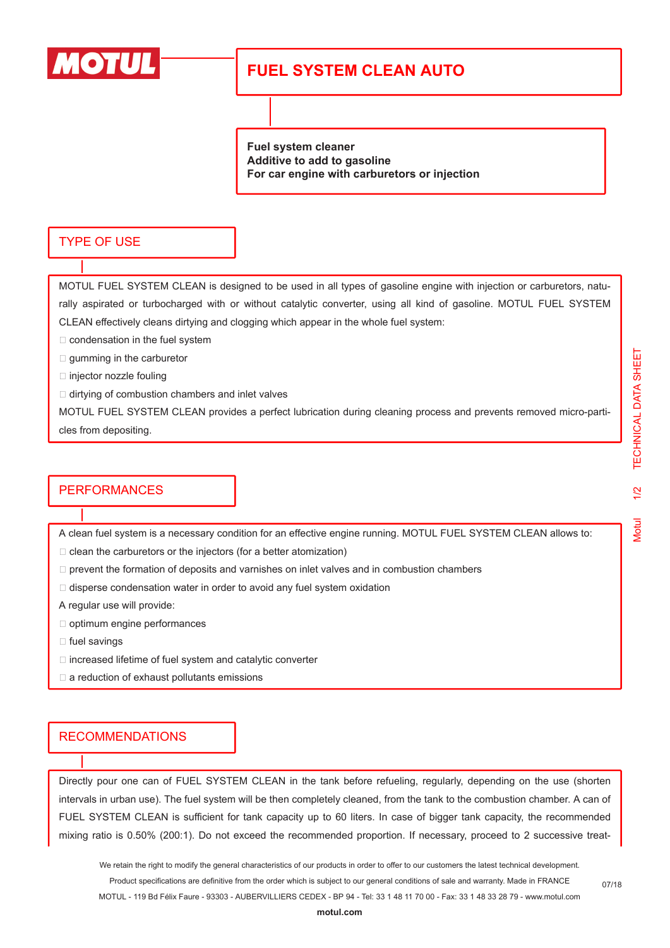

# **FUEL SYSTEM CLEAN AUTO**

**Fuel system cleaner Additive to add to gasoline For car engine with carburetors or injection**

### TYPE OF USE

MOTUL FUEL SYSTEM CLEAN is designed to be used in all types of gasoline engine with injection or carburetors, naturally aspirated or turbocharged with or without catalytic converter, using all kind of gasoline. MOTUL FUEL SYSTEM CLEAN effectively cleans dirtying and clogging which appear in the whole fuel system:

- $\Box$  condensation in the fuel system
- $\square$  gumming in the carburetor
- $\square$  injector nozzle fouling
- $\Box$  dirtying of combustion chambers and inlet valves

MOTUL FUEL SYSTEM CLEAN provides a perfect lubrication during cleaning process and prevents removed micro-particles from depositing.

#### **PERFORMANCES**

A clean fuel system is a necessary condition for an effective engine running. MOTUL FUEL SYSTEM CLEAN allows to:

 $\Box$  clean the carburetors or the injectors (for a better atomization)

- $\Box$  prevent the formation of deposits and varnishes on inlet valves and in combustion chambers
- $\Box$  disperse condensation water in order to avoid any fuel system oxidation

A regular use will provide:

- $\Box$  optimum engine performances
- $\Box$  fuel savings
- $\Box$  increased lifetime of fuel system and catalytic converter
- $\square$  a reduction of exhaust pollutants emissions

## **RECOMMENDATIONS**

Directly pour one can of FUEL SYSTEM CLEAN in the tank before refueling, regularly, depending on the use (shorten intervals in urban use). The fuel system will be then completely cleaned, from the tank to the combustion chamber. A can of FUEL SYSTEM CLEAN is sufficient for tank capacity up to 60 liters. In case of bigger tank capacity, the recommended mixing ratio is 0.50% (200:1). Do not exceed the recommended proportion. If necessary, proceed to 2 successive treat-

We retain the right to modify the general characteristics of our products in order to offer to our customers the latest technical development. Product specifications are definitive from the order which is subject to our general conditions of sale and warranty. Made in FRANCE MOTUL - 119 Bd Félix Faure - 93303 - AUBERVILLIERS CEDEX - BP 94 - Tel: 33 1 48 11 70 00 - Fax: 33 1 48 33 28 79 - www.motul.com Vlotul